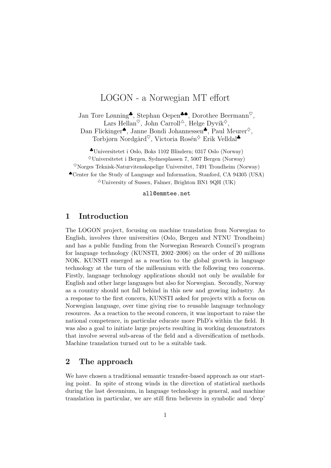# LOGON - a Norwegian MT effort

Jan Tore Lønning<sup>♣</sup>, Stephan Oepen<sup>♣♠</sup>, Dorothee Beermann<sup>♡</sup>, Lars Hellan<sup> $\heartsuit$ </sup>, John Carroll<sup> $\triangle$ </sup>, Helge Dyvik<sup> $\diamond$ </sup>, Dan Flickinger♠, Janne Bondi Johannessen♣, Paul Meurer♦,

Torbjørn Nordgård<sup>♡</sup>, Victoria Rosén<sup>◇</sup> Erik Velldal<sup>●</sup>

♣Universitetet i Oslo, Boks 1102 Blindern; 0317 Oslo (Norway)  $\sqrt[6]{\text{Universitetet i Bergen}}$ , Sydnesplassen 7, 5007 Bergen (Norway)

 $\%$ Norges Teknisk-Naturvitenskapelige Universitet, 7491 Trondheim (Norway)

♠Center for the Study of Language and Information, Stanford, CA 94305 (USA)

 $\triangle$ University of Sussex, Falmer, Brighton BN1 9QH (UK)

#### all@emmtee.net

# 1 Introduction

The LOGON project, focusing on machine translation from Norwegian to English, involves three universities (Oslo, Bergen and NTNU Trondheim) and has a public funding from the Norwegian Research Council's program for language technology (KUNSTI, 2002–2006) on the order of 20 millions NOK. KUNSTI emerged as a reaction to the global growth in language technology at the turn of the millennium with the following two concerns. Firstly, language technology applications should not only be available for English and other large languages but also for Norwegian. Secondly, Norway as a country should not fall behind in this new and growing industry. As a response to the first concern, KUNSTI asked for projects with a focus on Norwegian language, over time giving rise to reusable language technology resources. As a reaction to the second concern, it was important to raise the national competence, in particular educate more PhD's within the field. It was also a goal to initiate large projects resulting in working demonstrators that involve several sub-areas of the field and a diversification of methods. Machine translation turned out to be a suitable task.

# 2 The approach

We have chosen a traditional semantic transfer-based approach as our starting point. In spite of strong winds in the direction of statistical methods during the last decennium, in language technology in general, and machine translation in particular, we are still firm believers in symbolic and 'deep'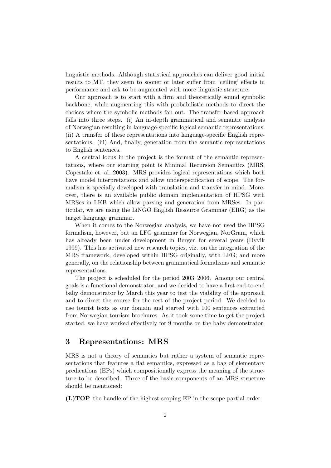linguistic methods. Although statistical approaches can deliver good initial results to MT, they seem to sooner or later suffer from 'ceiling' effects in performance and ask to be augmented with more linguistic structure.

Our approach is to start with a firm and theoretically sound symbolic backbone, while augmenting this with probabilistic methods to direct the choices where the symbolic methods fan out. The transfer-based approach falls into three steps. (i) An in-depth grammatical and semantic analysis of Norwegian resulting in language-specific logical semantic representations. (ii) A transfer of these representations into language-specific English representations. (iii) And, finally, generation from the semantic representations to English sentences.

A central locus in the project is the format of the semantic representations, where our starting point is Minimal Recursion Semantics (MRS, Copestake et. al. 2003). MRS provides logical representations which both have model interpretations and allow underspecification of scope. The formalism is specially developed with translation and transfer in mind. Moreover, there is an available public domain implementation of HPSG with MRSes in LKB which allow parsing and generation from MRSes. In particular, we are using the LiNGO English Resource Grammar (ERG) as the target language grammar.

When it comes to the Norwegian analysis, we have not used the HPSG formalism, however, but an LFG grammar for Norwegian, NorGram, which has already been under development in Bergen for several years (Dyvik 1999). This has activated new research topics, viz. on the integration of the MRS framework, developed within HPSG originally, with LFG; and more generally, on the relationship between grammatical formalisms and semantic representations.

The project is scheduled for the period 2003–2006. Among our central goals is a functional demonstrator, and we decided to have a first end-to-end baby demonstrator by March this year to test the viability of the approach and to direct the course for the rest of the project period. We decided to use tourist texts as our domain and started with 100 sentences extracted from Norwegian tourism brochures. As it took some time to get the project started, we have worked effectively for 9 months on the baby demonstrator.

## 3 Representations: MRS

MRS is not a theory of semantics but rather a system of semantic representations that features a flat semantics, expressed as a bag of elementary predications (EPs) which compositionally express the meaning of the structure to be described. Three of the basic components of an MRS structure should be mentioned:

(L)TOP the handle of the highest-scoping EP in the scope partial order.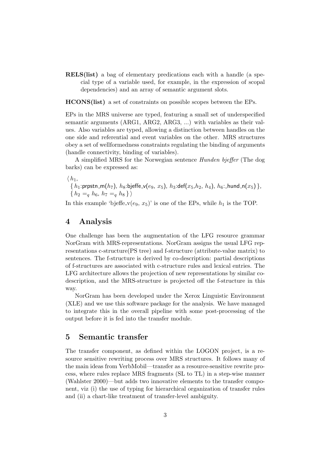RELS(list) a bag of elementary predications each with a handle (a special type of a variable used, for example, in the expression of scopal dependencies) and an array of semantic argument slots.

HCONS(list) a set of constraints on possible scopes between the EPs.

EPs in the MRS universe are typed, featuring a small set of underspecified semantic arguments (ARG1, ARG2, ARG3, ...) with variables as their values. Also variables are typed, allowing a distinction between handles on the one side and referential and event variables on the other. MRS structures obey a set of wellformedness constraints regulating the binding of arguments (handle connectivity, binding of variables).

A simplified MRS for the Norwegian sentence Hunden bjeffer (The dog barks) can be expressed as:

 $\langle h_1,$ 

 $\{h_1: \text{prpstn\_m}(h_7), h_8: \text{bjeffe\_v}(e_9, x_5), h_3: \text{def}(x_5, h_2, h_4), h_6: \text{hund\_n}(x_5)\},$  $\{h_2 =_q h_6, h_7 =_q h_8\}\$ 

In this example 'bjeffe  $v(e_9, x_5)$ ' is one of the EPs, while  $h_1$  is the TOP.

## 4 Analysis

One challenge has been the augmentation of the LFG resource grammar NorGram with MRS-representations. NorGram assigns the usual LFG representations c-structure(PS tree) and f-structure (attribute-value matrix) to sentences. The f-structure is derived by co-description: partial descriptions of f-structures are associated with c-structure rules and lexical entries. The LFG architecture allows the projection of new representations by similar codescription, and the MRS-structure is projected off the f-structure in this way.

NorGram has been developed under the Xerox Linguistic Environment (XLE) and we use this software package for the analysis. We have managed to integrate this in the overall pipeline with some post-processing of the output before it is fed into the transfer module.

#### 5 Semantic transfer

The transfer component, as defined within the LOGON project, is a resource sensitive rewriting process over MRS structures. It follows many of the main ideas from VerbMobil—transfer as a resource-sensitive rewrite process, where rules replace MRS fragments (SL to TL) in a step-wise manner (Wahlster 2000)—but adds two innovative elements to the transfer component, viz (i) the use of typing for hierarchical organization of transfer rules and (ii) a chart-like treatment of transfer-level ambiguity.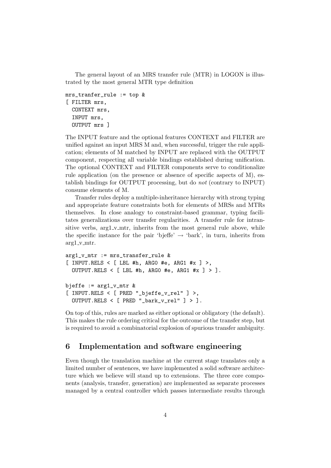The general layout of an MRS transfer rule (MTR) in LOGON is illustrated by the most general MTR type definition

```
mrs_tranfer_rule := top &
[ FILTER mrs,
  CONTEXT mrs,
  INPUT mrs,
  OUTPUT mrs ]
```
The INPUT feature and the optional features CONTEXT and FILTER are unified against an input MRS M and, when successful, trigger the rule application; elements of M matched by INPUT are replaced with the OUTPUT component, respecting all variable bindings established during unification. The optional CONTEXT and FILTER components serve to conditionalize rule application (on the presence or absence of specific aspects of M), establish bindings for OUTPUT processing, but do not (contrary to INPUT) consume elements of M.

Transfer rules deploy a multiple-inheritance hierarchy with strong typing and appropriate feature constraints both for elements of MRSs and MTRs themselves. In close analogy to constraint-based grammar, typing facilitates generalizations over transfer regularities. A transfer rule for intransitive verbs, arg1\_v\_mtr, inherits from the most general rule above, while the specific instance for the pair 'bjeffe'  $\rightarrow$  'bark', in turn, inherits from  $arg1_v mtr.$ 

```
arg1_v_mtr := mrs_transfer_rule &
[ INPUT.RELS < [ LBL #h, ARGO #e, ARG1 #x ] >,
  OUTPUT.RELS < [ LBL #h, ARGO #e, ARG1 #x ] > ].
bjeffe := arg1_v\_mtr &
[ INPUT.RELS < [ PRED "_bjeffe_v_rel" ] >,
  OUTPUT.RELS < [ PRED "_bark_v_rel" ] > ].
```
On top of this, rules are marked as either optional or obligatory (the default). This makes the rule ordering critical for the outcome of the transfer step, but is required to avoid a combinatorial explosion of spurious transfer ambiguity.

## 6 Implementation and software engineering

Even though the translation machine at the current stage translates only a limited number of sentences, we have implemented a solid software architecture which we believe will stand up to extensions. The three core components (analysis, transfer, generation) are implemented as separate processes managed by a central controller which passes intermediate results through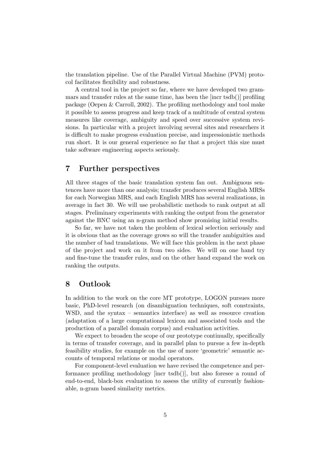the translation pipeline. Use of the Parallel Virtual Machine (PVM) protocol facilitates flexibility and robustness.

A central tool in the project so far, where we have developed two grammars and transfer rules at the same time, has been the [incr tsdb()] profiling package (Oepen & Carroll, 2002). The profiling methodology and tool make it possible to assess progress and keep track of a multitude of central system measures like coverage, ambiguity and speed over successive system revisions. In particular with a project involving several sites and researchers it is difficult to make progress evaluation precise, and impressionistic methods run short. It is our general experience so far that a project this size must take software engineering aspects seriously.

## 7 Further perspectives

All three stages of the basic translation system fan out. Ambiguous sentences have more than one analysis; transfer produces several English MRSs for each Norwegian MRS, and each English MRS has several realizations, in average in fact 30. We will use probabilistic methods to rank output at all stages. Preliminary experiments with ranking the output from the generator against the BNC using an n-gram method show promising initial results.

So far, we have not taken the problem of lexical selection seriously and it is obvious that as the coverage grows so will the transfer ambiguities and the number of bad translations. We will face this problem in the next phase of the project and work on it from two sides. We will on one hand try and fine-tune the transfer rules, and on the other hand expand the work on ranking the outputs.

## 8 Outlook

In addition to the work on the core MT prototype, LOGON pursues more basic, PhD-level research (on disambiguation techniques, soft constraints, WSD, and the syntax – semantics interface) as well as resource creation (adaptation of a large computational lexicon and associated tools and the production of a parallel domain corpus) and evaluation activities.

We expect to broaden the scope of our prototype continually, specifically in terms of transfer coverage, and in parallel plan to pursue a few in-depth feasibility studies, for example on the use of more 'geometric' semantic accounts of temporal relations or modal operators.

For component-level evaluation we have revised the competence and performance profiling methodology [incr tsdb()], but also foresee a round of end-to-end, black-box evaluation to assess the utility of currently fashionable, n-gram based similarity metrics.